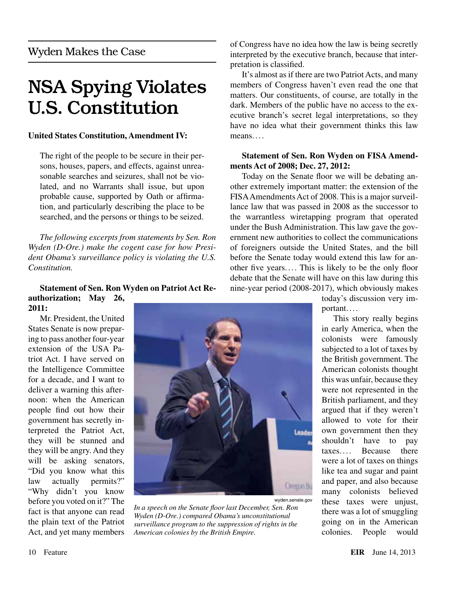## NSA Spying Violates U.S. Constitution

### **United States Constitution, Amendment IV:**

The right of the people to be secure in their persons, houses, papers, and effects, against unreasonable searches and seizures, shall not be violated, and no Warrants shall issue, but upon probable cause, supported by Oath or affirmation, and particularly describing the place to be searched, and the persons or things to be seized.

*The following excerpts from statements by Sen. Ron Wyden (D-Ore.) make the cogent case for how President Obama's surveillance policy is violating the U.S. Constitution.*

#### **Statement of Sen. Ron Wyden on Patriot Act Reauthorization; May 26, 2011:**

Mr. President, the United States Senate is now preparing to pass another four-year extension of the USA Patriot Act. I have served on the Intelligence Committee for a decade, and I want to deliver a warning this afternoon: when the American people find out how their government has secretly interpreted the Patriot Act, they will be stunned and they will be angry. And they will be asking senators, "Did you know what this law actually permits?" "Why didn't you know before you voted on it?" The fact is that anyone can read the plain text of the Patriot Act, and yet many members



wyden.senate.gov *In a speech on the Senate floor last December, Sen. Ron Wyden (D-Ore.) compared Obama's unconstitutional surveillance program to the suppression of rights in the American colonies by the British Empire.*

of Congress have no idea how the law is being secretly interpreted by the executive branch, because that interpretation is classified.

It's almost as if there are two Patriot Acts, and many members of Congress haven't even read the one that matters. Our constituents, of course, are totally in the dark. Members of the public have no access to the executive branch's secret legal interpretations, so they have no idea what their government thinks this law means. . . .

#### **Statement of Sen. Ron Wyden on FISA Amendments Act of 2008; Dec. 27, 2012:**

Today on the Senate floor we will be debating another extremely important matter: the extension of the FISA Amendments Act of 2008. This is a major surveillance law that was passed in 2008 as the successor to the warrantless wiretapping program that operated under the Bush Administration. This law gave the government new authorities to collect the communications of foreigners outside the United States, and the bill before the Senate today would extend this law for another five years. ... This is likely to be the only floor debate that the Senate will have on this law during this nine-year period (2008-2017), which obviously makes

today's discussion very important. . . .

This story really begins in early America, when the colonists were famously subjected to a lot of taxes by the British government. The American colonists thought this was unfair, because they were not represented in the British parliament, and they argued that if they weren't allowed to vote for their own government then they shouldn't have to pay taxes. ... Because there were a lot of taxes on things like tea and sugar and paint and paper, and also because many colonists believed these taxes were unjust, there was a lot of smuggling going on in the American colonies. People would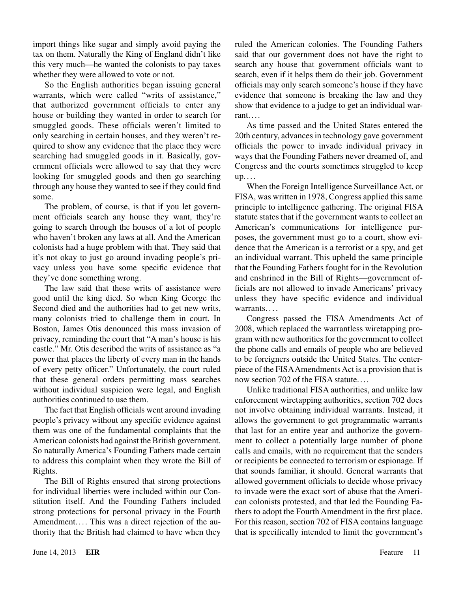import things like sugar and simply avoid paying the tax on them. Naturally the King of England didn't like this very much—he wanted the colonists to pay taxes whether they were allowed to vote or not.

So the English authorities began issuing general warrants, which were called "writs of assistance," that authorized government officials to enter any house or building they wanted in order to search for smuggled goods. These officials weren't limited to only searching in certain houses, and they weren't required to show any evidence that the place they were searching had smuggled goods in it. Basically, government officials were allowed to say that they were looking for smuggled goods and then go searching through any house they wanted to see if they could find some.

The problem, of course, is that if you let government officials search any house they want, they're going to search through the houses of a lot of people who haven't broken any laws at all. And the American colonists had a huge problem with that. They said that it's not okay to just go around invading people's privacy unless you have some specific evidence that they've done something wrong.

The law said that these writs of assistance were good until the king died. So when King George the Second died and the authorities had to get new writs, many colonists tried to challenge them in court. In Boston, James Otis denounced this mass invasion of privacy, reminding the court that "A man's house is his castle." Mr. Otis described the writs of assistance as "a power that places the liberty of every man in the hands of every petty officer." Unfortunately, the court ruled that these general orders permitting mass searches without individual suspicion were legal, and English authorities continued to use them.

The fact that English officials went around invading people's privacy without any specific evidence against them was one of the fundamental complaints that the American colonists had against the British government. So naturally America's Founding Fathers made certain to address this complaint when they wrote the Bill of Rights.

The Bill of Rights ensured that strong protections for individual liberties were included within our Constitution itself. And the Founding Fathers included strong protections for personal privacy in the Fourth Amendment.... This was a direct rejection of the authority that the British had claimed to have when they

ruled the American colonies. The Founding Fathers said that our government does not have the right to search any house that government officials want to search, even if it helps them do their job. Government officials may only search someone's house if they have evidence that someone is breaking the law and they show that evidence to a judge to get an individual warrant. ...

As time passed and the United States entered the 20th century, advances in technology gave government officials the power to invade individual privacy in ways that the Founding Fathers never dreamed of, and Congress and the courts sometimes struggled to keep  $up...$ 

When the Foreign Intelligence Surveillance Act, or FISA, was written in 1978, Congress applied this same principle to intelligence gathering. The original FISA statute states that if the government wants to collect an American's communications for intelligence purposes, the government must go to a court, show evidence that the American is a terrorist or a spy, and get an individual warrant. This upheld the same principle that the Founding Fathers fought for in the Revolution and enshrined in the Bill of Rights—government officials are not allowed to invade Americans' privacy unless they have specific evidence and individual warrants....

Congress passed the FISA Amendments Act of 2008, which replaced the warrantless wiretapping program with new authorities for the government to collect the phone calls and emails of people who are believed to be foreigners outside the United States. The centerpiece of the FISA Amendments Act is a provision that is now section 702 of the FISA statute. ...

Unlike traditional FISA authorities, and unlike law enforcement wiretapping authorities, section 702 does not involve obtaining individual warrants. Instead, it allows the government to get programmatic warrants that last for an entire year and authorize the government to collect a potentially large number of phone calls and emails, with no requirement that the senders or recipients be connected to terrorism or espionage. If that sounds familiar, it should. General warrants that allowed government officials to decide whose privacy to invade were the exact sort of abuse that the American colonists protested, and that led the Founding Fathers to adopt the Fourth Amendment in the first place. For this reason, section 702 of FISA contains language that is specifically intended to limit the government's